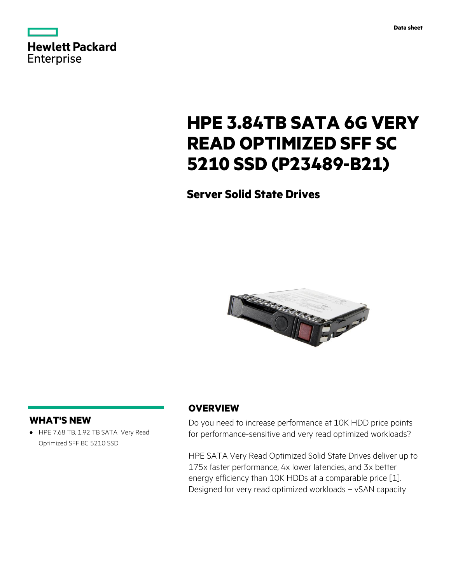| <b>Hewlett Packard</b> |  |  |
|------------------------|--|--|
| Enterprise             |  |  |

# **HPE 3.84TB SATA 6G VERY READ OPTIMIZED SFF SC 5210 SSD (P23489-B21)**

**Server Solid State Drives**



# **WHAT'S NEW**

**·** HPE 7.68 TB, 1.92 TB SATA Very Read Optimized SFF BC 5210 SSD

# **OVERVIEW**

Do you need to increase performance at 10K HDD price points for performance-sensitive and very read optimized workloads?

HPE SATA Very Read Optimized Solid State Drives deliver up to 175x faster performance, 4x lower latencies, and 3x better energy efficiency than 10K HDDs at a comparable price [1]. Designed for very read optimized workloads – vSAN capacity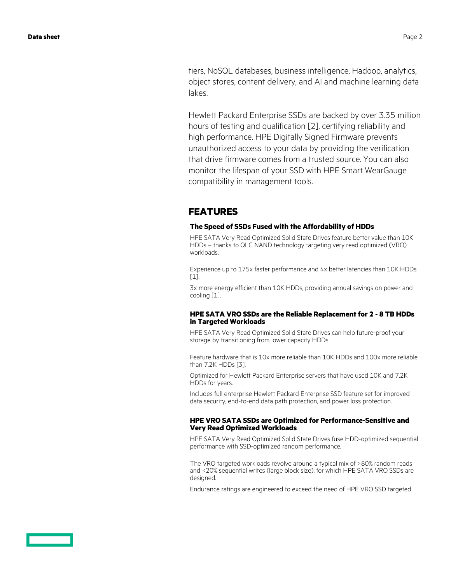tiers, NoSQL databases, business intelligence, Hadoop, analytics, object stores, content delivery, and AI and machine learning data lakes.

Hewlett Packard Enterprise SSDs are backed by over 3.35 million hours of testing and qualification [2], certifying reliability and high performance. HPE Digitally Signed Firmware prevents unauthorized access to your data by providing the verification that drive firmware comes from a trusted source. You can also monitor the lifespan of your SSD with HPE Smart WearGauge compatibility in management tools.

## **FEATURES**

#### **The Speed of SSDs Fused with the Affordability of HDDs**

HPE SATA Very Read Optimized Solid State Drives feature better value than 10K HDDs – thanks to QLC NAND technology targeting very read optimized (VRO) workloads.

Experience up to 175x faster performance and 4x better latencies than 10K HDDs [1].

3x more energy efficient than 10K HDDs, providing annual savings on power and cooling [1].

#### **HPE SATA VRO SSDs are the Reliable Replacement for 2 - 8 TB HDDs in Targeted Workloads**

HPE SATA Very Read Optimized Solid State Drives can help future-proof your storage by transitioning from lower capacity HDDs.

Feature hardware that is 10x more reliable than 10K HDDs and 100x more reliable than 7.2K HDDs [3].

Optimized for Hewlett Packard Enterprise servers that have used 10K and 7.2K HDDs for years.

Includes full enterprise Hewlett Packard Enterprise SSD feature set for improved data security, end-to-end data path protection, and power loss protection.

#### **HPE VRO SATA SSDs are Optimized for Performance-Sensitive and Very Read Optimized Workloads**

HPE SATA Very Read Optimized Solid State Drives fuse HDD-optimized sequential performance with SSD-optimized random performance.

The VRO targeted workloads revolve around a typical mix of >80% random reads and <20% sequential writes (large block size), for which HPE SATA VRO SSDs are designed.

Endurance ratings are engineered to exceed the need of HPE VRO SSD targeted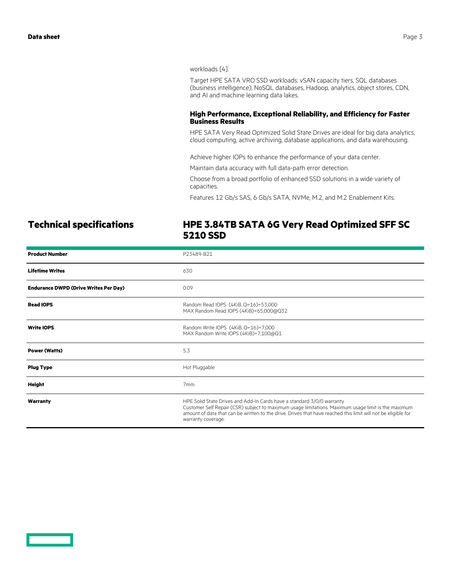workloads [4].

Target HPE SATA VRO SSD workloads: vSAN capacity tiers, SQL databases (business intelligence), NoSQL databases, Hadoop, analytics, object stores, CDN, and AI and machine learning data lakes.

#### **High Performance, Exceptional Reliability, and Efficiency for Faster Business Results**

HPE SATA Very Read Optimized Solid State Drives are ideal for big data analytics, cloud computing, active archiving, database applications, and data warehousing.

Achieve higher IOPs to enhance the performance of your data center.

Maintain data accuracy with full data-path error detection.

Choose from a broad portfolio of enhanced SSD solutions in a wide variety of capacities.

Features 12 Gb/s SAS, 6 Gb/s SATA, NVMe, M.2, and M.2 Enablement Kits.

# **Technical specifications HPE 3.84TB SATA 6G Very Read Optimized SFF SC 5210 SSD**

| <b>Product Number</b>                        | P23489-B21                                                                                                                                                                                                                                                                                                           |  |
|----------------------------------------------|----------------------------------------------------------------------------------------------------------------------------------------------------------------------------------------------------------------------------------------------------------------------------------------------------------------------|--|
| <b>Lifetime Writes</b>                       | 630                                                                                                                                                                                                                                                                                                                  |  |
| <b>Endurance DWPD (Drive Writes Per Day)</b> | 0.09                                                                                                                                                                                                                                                                                                                 |  |
| <b>Read IOPS</b>                             | Random Read IOPS (4KiB, Q=16)=53,000<br>MAX Random Read IOPS (4KiB)=65,000@Q32                                                                                                                                                                                                                                       |  |
| <b>Write IOPS</b>                            | Random Write IOPS (4KiB, Q=16)=7,000<br>MAX Random Write IOPS (4KiB)=7,100@Q1                                                                                                                                                                                                                                        |  |
| <b>Power (Watts)</b>                         | 5.3                                                                                                                                                                                                                                                                                                                  |  |
| <b>Plug Type</b>                             | Hot Pluggable                                                                                                                                                                                                                                                                                                        |  |
| Height                                       | 7 <sub>mm</sub>                                                                                                                                                                                                                                                                                                      |  |
| Warranty                                     | HPE Solid State Drives and Add-In Cards have a standard 3/0/0 warranty<br>Customer Self Repair (CSR) subject to maximum usage limitations. Maximum usage limit is the maximum<br>amount of data that can be written to the drive. Drives that have reached this limit will not be eligible for<br>warranty coverage. |  |